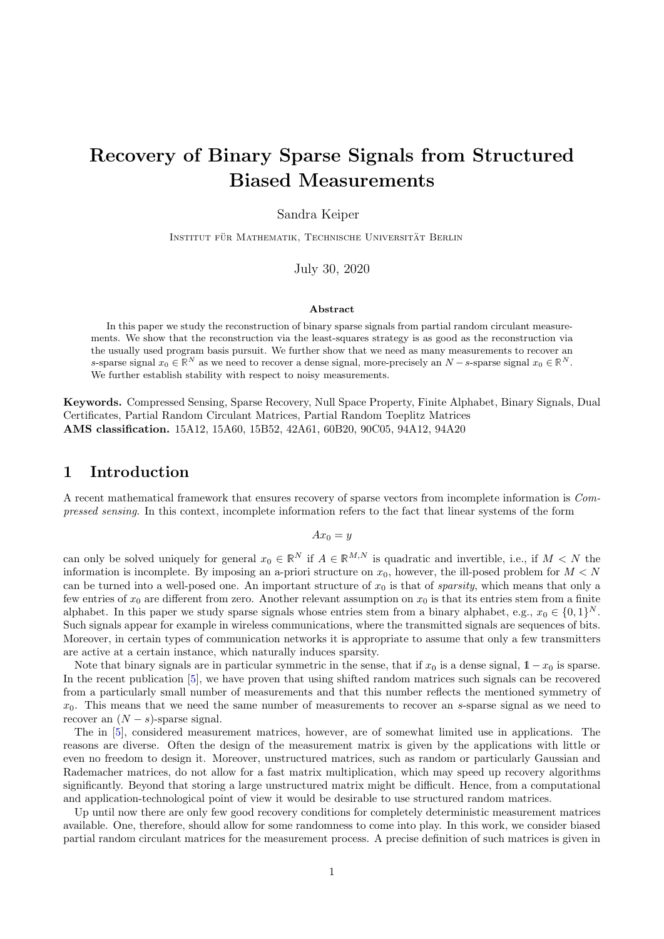# Recovery of Binary Sparse Signals from Structured Biased Measurements

Sandra Keiper

INSTITUT FÜR MATHEMATIK, TECHNISCHE UNIVERSITÄT BERLIN

July 30, 2020

#### Abstract

In this paper we study the reconstruction of binary sparse signals from partial random circulant measurements. We show that the reconstruction via the least-squares strategy is as good as the reconstruction via the usually used program basis pursuit. We further show that we need as many measurements to recover an s-sparse signal  $x_0 \in \mathbb{R}^N$  as we need to recover a dense signal, more-precisely an  $N - s$ -sparse signal  $x_0 \in \mathbb{R}^N$ . We further establish stability with respect to noisy measurements.

Keywords. Compressed Sensing, Sparse Recovery, Null Space Property, Finite Alphabet, Binary Signals, Dual Certificates, Partial Random Circulant Matrices, Partial Random Toeplitz Matrices AMS classification. 15A12, 15A60, 15B52, 42A61, 60B20, 90C05, 94A12, 94A20

# 1 Introduction

A recent mathematical framework that ensures recovery of sparse vectors from incomplete information is Compressed sensing. In this context, incomplete information refers to the fact that linear systems of the form

 $Ax_0 = y$ 

can only be solved uniquely for general  $x_0 \in \mathbb{R}^N$  if  $A \in \mathbb{R}^{M,N}$  is quadratic and invertible, i.e., if  $M < N$  the information is incomplete. By imposing an a-priori structure on  $x_0$ , however, the ill-posed problem for  $M < N$ can be turned into a well-posed one. An important structure of  $x_0$  is that of *sparsity*, which means that only a few entries of  $x_0$  are different from zero. Another relevant assumption on  $x_0$  is that its entries stem from a finite alphabet. In this paper we study sparse signals whose entries stem from a binary alphabet, e.g.,  $x_0 \in \{0,1\}^N$ . Such signals appear for example in wireless communications, where the transmitted signals are sequences of bits. Moreover, in certain types of communication networks it is appropriate to assume that only a few transmitters are active at a certain instance, which naturally induces sparsity.

Note that binary signals are in particular symmetric in the sense, that if  $x_0$  is a dense signal,  $1-x_0$  is sparse. In the recent publication [\[5\]](#page-14-0), we have proven that using shifted random matrices such signals can be recovered from a particularly small number of measurements and that this number reflects the mentioned symmetry of  $x_0$ . This means that we need the same number of measurements to recover an s-sparse signal as we need to recover an  $(N - s)$ -sparse signal.

The in [\[5\]](#page-14-0), considered measurement matrices, however, are of somewhat limited use in applications. The reasons are diverse. Often the design of the measurement matrix is given by the applications with little or even no freedom to design it. Moreover, unstructured matrices, such as random or particularly Gaussian and Rademacher matrices, do not allow for a fast matrix multiplication, which may speed up recovery algorithms significantly. Beyond that storing a large unstructured matrix might be difficult. Hence, from a computational and application-technological point of view it would be desirable to use structured random matrices.

Up until now there are only few good recovery conditions for completely deterministic measurement matrices available. One, therefore, should allow for some randomness to come into play. In this work, we consider biased partial random circulant matrices for the measurement process. A precise definition of such matrices is given in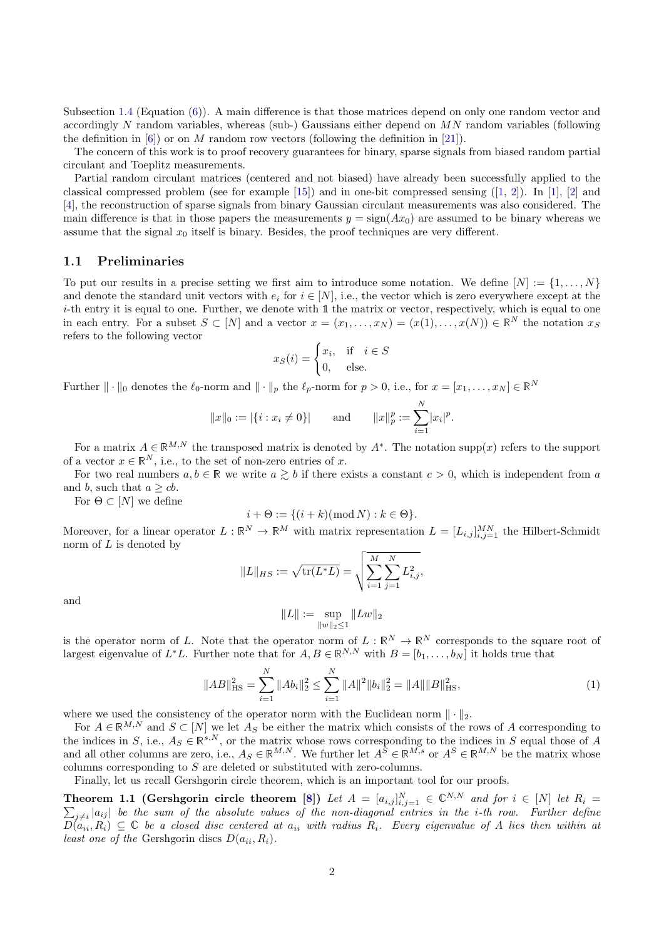Subsection [1.4](#page-3-0) (Equation [\(6\)](#page-4-0)). A main difference is that those matrices depend on only one random vector and accordingly N random variables, whereas (sub-) Gaussians either depend on  $MN$  random variables (following the definition in  $[6]$  or on M random row vectors (following the definition in [\[21\]](#page-15-0)).

The concern of this work is to proof recovery guarantees for binary, sparse signals from biased random partial circulant and Toeplitz measurements.

Partial random circulant matrices (centered and not biased) have already been successfully applied to the classical compressed problem (see for example  $[15]$ ) and in one-bit compressed sensing  $(1, 2)$ ). In  $[1]$ ,  $[2]$  $[2]$  and [\[4\]](#page-14-4), the reconstruction of sparse signals from binary Gaussian circulant measurements was also considered. The main difference is that in those papers the measurements  $y = \text{sign}(Ax_0)$  are assumed to be binary whereas we assume that the signal  $x_0$  itself is binary. Besides, the proof techniques are very different.

#### 1.1 Preliminaries

To put our results in a precise setting we first aim to introduce some notation. We define  $[N] := \{1, \ldots, N\}$ and denote the standard unit vectors with  $e_i$  for  $i \in [N]$ , i.e., the vector which is zero everywhere except at the  $i$ -th entry it is equal to one. Further, we denote with 1 the matrix or vector, respectively, which is equal to one in each entry. For a subset  $S \subset [N]$  and a vector  $x = (x_1, \ldots, x_N) = (x(1), \ldots, x(N)) \in \mathbb{R}^N$  the notation  $x_S$ refers to the following vector

$$
x_S(i) = \begin{cases} x_i, & \text{if } i \in S \\ 0, & \text{else.} \end{cases}
$$

Further  $\|\cdot\|_0$  denotes the  $\ell_0$ -norm and  $\|\cdot\|_p$  the  $\ell_p$ -norm for  $p > 0$ , i.e., for  $x = [x_1, \ldots, x_N] \in \mathbb{R}^N$ 

$$
||x||_0 := |\{i : x_i \neq 0\}|
$$
 and  $||x||_p^p := \sum_{i=1}^N |x_i|^p$ .

For a matrix  $A \in \mathbb{R}^{M,N}$  the transposed matrix is denoted by  $A^*$ . The notation supp $(x)$  refers to the support of a vector  $x \in \mathbb{R}^N$ , i.e., to the set of non-zero entries of x.

For two real numbers  $a, b \in \mathbb{R}$  we write  $a \geq b$  if there exists a constant  $c > 0$ , which is independent from a and b, such that  $a > cb$ .

For  $\Theta \subset [N]$  we define

$$
i + \Theta := \{ (i + k)(\text{mod } N) : k \in \Theta \}.
$$

Moreover, for a linear operator  $L : \mathbb{R}^N \to \mathbb{R}^M$  with matrix representation  $L = [L_{i,j}]_{i,j=1}^{MN}$  the Hilbert-Schmidt norm of  $L$  is denoted by

$$
||L||_{HS} := \sqrt{\text{tr}(L^*L)} = \sqrt{\sum_{i=1}^M \sum_{j=1}^N L_{i,j}^2},
$$

and

<span id="page-1-1"></span>
$$
||L|| := \sup_{||w||_2 \le 1} ||Lw||_2
$$

is the operator norm of L. Note that the operator norm of  $L : \mathbb{R}^N \to \mathbb{R}^N$  corresponds to the square root of largest eigenvalue of  $L^*L$ . Further note that for  $A, B \in \mathbb{R}^{N,N}$  with  $B = [b_1, \ldots, b_N]$  it holds true that

$$
||AB||_{\text{HS}}^2 = \sum_{i=1}^N ||Ab_i||_2^2 \le \sum_{i=1}^N ||A||^2 ||b_i||_2^2 = ||A|| ||B||_{\text{HS}}^2,
$$
\n(1)

where we used the consistency of the operator norm with the Euclidean norm  $\|\cdot\|_2$ .

For  $A \in \mathbb{R}^{M,N}$  and  $S \subset [N]$  we let  $A_S$  be either the matrix which consists of the rows of A corresponding to the indices in S, i.e.,  $A_S \in \mathbb{R}^{s,N}$ , or the matrix whose rows corresponding to the indices in S equal those of A and all other columns are zero, i.e.,  $A_S \in \mathbb{R}^{M,N}$ . We further let  $A^S \in \mathbb{R}^{M,s}$  or  $A^S \in \mathbb{R}^{M,N}$  be the matrix whose columns corresponding to S are deleted or substituted with zero-columns.

Finally, let us recall Gershgorin circle theorem, which is an important tool for our proofs.

<span id="page-1-0"></span>Theorem 1.1 (Gershgorin circle theorem [\[8\]](#page-14-5)) Let  $A \ = \ [a_{i,j}]_{i,j=1}^N \ \in \ \mathbb{C}^{N,N}$  $\sum$ and for  $i \in [N]$  let  $R_i =$  $_{j\neq i}\left|a_{ij}\right|$  be the sum of the absolute values of the non-diagonal entries in the i-th row. Further define  $\overline{D}(a_{ii}, R_i) \subseteq \mathbb{C}$  be a closed disc centered at  $a_{ii}$  with radius  $R_i$ . Every eigenvalue of A lies then within at least one of the Gershgorin discs  $D(a_{ii}, R_i)$ .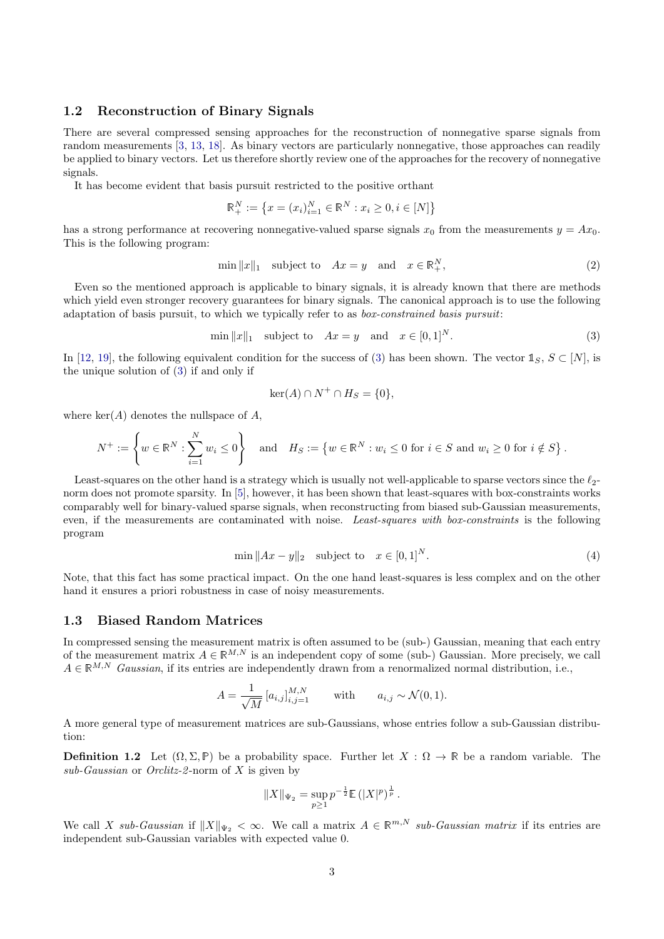#### 1.2 Reconstruction of Binary Signals

There are several compressed sensing approaches for the reconstruction of nonnegative sparse signals from random measurements [\[3,](#page-14-6) [13,](#page-15-2) [18\]](#page-15-3). As binary vectors are particularly nonnegative, those approaches can readily be applied to binary vectors. Let us therefore shortly review one of the approaches for the recovery of nonnegative signals.

It has become evident that basis pursuit restricted to the positive orthant

$$
\mathbb{R}_+^N := \left\{ x = (x_i)_{i=1}^N \in \mathbb{R}^N : x_i \ge 0, i \in [N] \right\}
$$

has a strong performance at recovering nonnegative-valued sparse signals  $x_0$  from the measurements  $y = Ax_0$ . This is the following program:

$$
\min \|x\|_1 \quad \text{subject to} \quad Ax = y \quad \text{and} \quad x \in \mathbb{R}_+^N,\tag{2}
$$

Even so the mentioned approach is applicable to binary signals, it is already known that there are methods which yield even stronger recovery guarantees for binary signals. The canonical approach is to use the following adaptation of basis pursuit, to which we typically refer to as box-constrained basis pursuit:

$$
\min \|x\|_1 \quad \text{subject to} \quad Ax = y \quad \text{and} \quad x \in [0, 1]^N. \tag{3}
$$

In [\[12,](#page-15-4) [19\]](#page-15-5), the following equivalent condition for the success of [\(3\)](#page-2-0) has been shown. The vector  $\mathbb{1}_S$ ,  $S \subset [N]$ , is the unique solution of [\(3\)](#page-2-0) if and only if

<span id="page-2-2"></span><span id="page-2-1"></span><span id="page-2-0"></span>
$$
\ker(A) \cap N^+ \cap H_S = \{0\},\
$$

where  $\ker(A)$  denotes the nullspace of A,

$$
N^+ := \left\{ w \in \mathbb{R}^N : \sum_{i=1}^N w_i \le 0 \right\} \quad \text{and} \quad H_S := \left\{ w \in \mathbb{R}^N : w_i \le 0 \text{ for } i \in S \text{ and } w_i \ge 0 \text{ for } i \notin S \right\}.
$$

Least-squares on the other hand is a strategy which is usually not well-applicable to sparse vectors since the  $\ell_2$ norm does not promote sparsity. In [\[5\]](#page-14-0), however, it has been shown that least-squares with box-constraints works comparably well for binary-valued sparse signals, when reconstructing from biased sub-Gaussian measurements, even, if the measurements are contaminated with noise. Least-squares with box-constraints is the following program

$$
\min \|Ax - y\|_2 \quad \text{subject to} \quad x \in [0, 1]^N. \tag{4}
$$

Note, that this fact has some practical impact. On the one hand least-squares is less complex and on the other hand it ensures a priori robustness in case of noisy measurements.

#### 1.3 Biased Random Matrices

In compressed sensing the measurement matrix is often assumed to be (sub-) Gaussian, meaning that each entry of the measurement matrix  $A \in \mathbb{R}^{M,N}$  is an independent copy of some (sub-) Gaussian. More precisely, we call  $A \in \mathbb{R}^{M,N}$  Gaussian, if its entries are independently drawn from a renormalized normal distribution, i.e.,

$$
A = \frac{1}{\sqrt{M}} [a_{i,j}]_{i,j=1}^{M,N} \quad \text{with} \quad a_{i,j} \sim \mathcal{N}(0,1).
$$

A more general type of measurement matrices are sub-Gaussians, whose entries follow a sub-Gaussian distribution:

**Definition 1.2** Let  $(\Omega, \Sigma, \mathbb{P})$  be a probability space. Further let  $X : \Omega \to \mathbb{R}$  be a random variable. The sub-Gaussian or Orclitz-2-norm of X is given by

$$
||X||_{\Psi_2} = \sup_{p \ge 1} p^{-\frac{1}{2}} \mathbb{E} (|X|^p)^{\frac{1}{p}}.
$$

We call X sub-Gaussian if  $||X||_{\Psi_2} < \infty$ . We call a matrix  $A \in \mathbb{R}^{m,N}$  sub-Gaussian matrix if its entries are independent sub-Gaussian variables with expected value 0.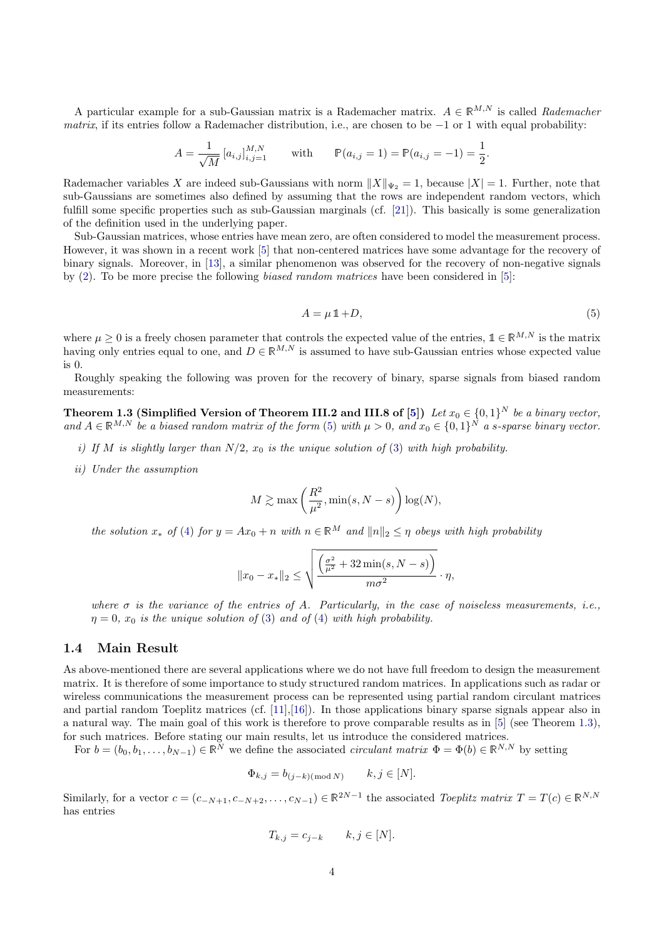A particular example for a sub-Gaussian matrix is a Rademacher matrix.  $A \in \mathbb{R}^{M,N}$  is called Rademacher matrix, if its entries follow a Rademacher distribution, i.e., are chosen to be −1 or 1 with equal probability:

$$
A = \frac{1}{\sqrt{M}} [a_{i,j}]_{i,j=1}^{M,N} \quad \text{with} \quad \mathbb{P}(a_{i,j} = 1) = \mathbb{P}(a_{i,j} = -1) = \frac{1}{2}.
$$

Rademacher variables X are indeed sub-Gaussians with norm  $||X||_{\Psi_2} = 1$ , because  $|X| = 1$ . Further, note that sub-Gaussians are sometimes also defined by assuming that the rows are independent random vectors, which fulfill some specific properties such as sub-Gaussian marginals (cf. [\[21\]](#page-15-0)). This basically is some generalization of the definition used in the underlying paper.

Sub-Gaussian matrices, whose entries have mean zero, are often considered to model the measurement process. However, it was shown in a recent work [\[5\]](#page-14-0) that non-centered matrices have some advantage for the recovery of binary signals. Moreover, in [\[13\]](#page-15-2), a similar phenomenon was observed for the recovery of non-negative signals by [\(2\)](#page-2-1). To be more precise the following biased random matrices have been considered in [\[5\]](#page-14-0):

<span id="page-3-1"></span>
$$
A = \mu \mathbb{1} + D,\tag{5}
$$

where  $\mu \geq 0$  is a freely chosen parameter that controls the expected value of the entries,  $\mathbb{1} \in \mathbb{R}^{M,N}$  is the matrix having only entries equal to one, and  $D \in \mathbb{R}^{M,N}$  is assumed to have sub-Gaussian entries whose expected value is 0.

Roughly speaking the following was proven for the recovery of binary, sparse signals from biased random measurements:

<span id="page-3-2"></span>Theorem 1.3 (Simplified Version of Theorem III.2 and III.8 of [\[5\]](#page-14-0)) Let  $x_0 \in \{0,1\}^N$  be a binary vector, and  $A \in \mathbb{R}^{M,N}$  be a biased random matrix of the form [\(5\)](#page-3-1) with  $\mu > 0$ , and  $x_0 \in \{0,1\}^N$  a s-sparse binary vector.

- i) If M is slightly larger than  $N/2$ ,  $x_0$  is the unique solution of [\(3\)](#page-2-0) with high probability.
- ii) Under the assumption

$$
M \gtrsim \max\left(\frac{R^2}{\mu^2}, \min(s, N - s)\right) \log(N),
$$

the solution  $x_*$  of [\(4\)](#page-2-2) for  $y = Ax_0 + n$  with  $n \in \mathbb{R}^M$  and  $||n||_2 \leq \eta$  obeys with high probability

$$
||x_0 - x_*||_2 \le \sqrt{\frac{\left(\frac{\sigma^2}{\mu^2} + 32\min(s, N - s)\right)}{m\sigma^2}} \cdot \eta,
$$

where  $\sigma$  is the variance of the entries of A. Particularly, in the case of noiseless measurements, i.e.,  $\eta = 0$ ,  $x_0$  is the unique solution of [\(3\)](#page-2-0) and of [\(4\)](#page-2-2) with high probability.

### <span id="page-3-0"></span>1.4 Main Result

As above-mentioned there are several applications where we do not have full freedom to design the measurement matrix. It is therefore of some importance to study structured random matrices. In applications such as radar or wireless communications the measurement process can be represented using partial random circulant matrices and partial random Toeplitz matrices (cf. [\[11\]](#page-15-6),[\[16\]](#page-15-7)). In those applications binary sparse signals appear also in a natural way. The main goal of this work is therefore to prove comparable results as in [\[5\]](#page-14-0) (see Theorem [1.3\)](#page-3-2), for such matrices. Before stating our main results, let us introduce the considered matrices.

For  $b = (b_0, b_1, \ldots, b_{N-1}) \in \mathbb{R}^N$  we define the associated *circulant matrix*  $\Phi = \Phi(b) \in \mathbb{R}^{N,N}$  by setting

$$
\Phi_{k,j} = b_{(j-k)(\text{mod }N)} \qquad k, j \in [N].
$$

Similarly, for a vector  $c = (c_{-N+1}, c_{-N+2}, \ldots, c_{N-1}) \in \mathbb{R}^{2N-1}$  the associated Toeplitz matrix  $T = T(c) \in \mathbb{R}^{N,N}$ has entries

$$
T_{k,j} = c_{j-k} \qquad k, j \in [N].
$$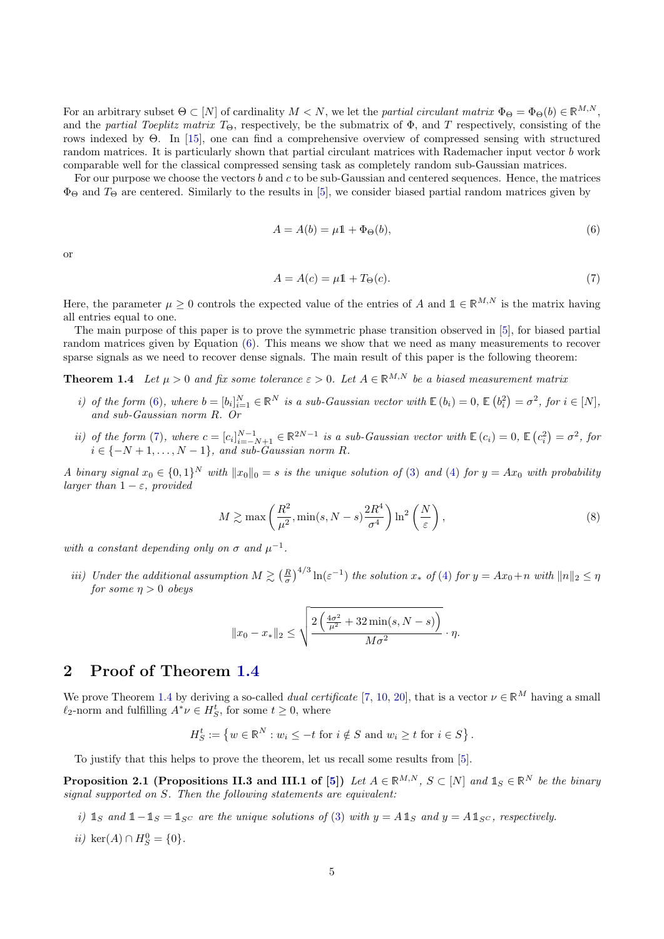For an arbitrary subset  $\Theta \subset [N]$  of cardinality  $M \subset N$ , we let the partial circulant matrix  $\Phi_{\Theta} = \Phi_{\Theta}(b) \in \mathbb{R}^{M,N}$ . and the partial Toeplitz matrix  $T_{\Theta}$ , respectively, be the submatrix of  $\Phi$ , and T respectively, consisting of the rows indexed by Θ. In [\[15\]](#page-15-1), one can find a comprehensive overview of compressed sensing with structured random matrices. It is particularly shown that partial circulant matrices with Rademacher input vector b work comparable well for the classical compressed sensing task as completely random sub-Gaussian matrices.

For our purpose we choose the vectors b and c to be sub-Gaussian and centered sequences. Hence, the matrices  $\Phi_{\Theta}$  and  $T_{\Theta}$  are centered. Similarly to the results in [\[5\]](#page-14-0), we consider biased partial random matrices given by

<span id="page-4-0"></span>
$$
A = A(b) = \mu \mathbb{1} + \Phi_{\Theta}(b),\tag{6}
$$

or

<span id="page-4-1"></span>
$$
A = A(c) = \mu \mathbb{1} + T_{\Theta}(c). \tag{7}
$$

Here, the parameter  $\mu \geq 0$  controls the expected value of the entries of A and  $\mathbb{1} \in \mathbb{R}^{M,N}$  is the matrix having all entries equal to one.

The main purpose of this paper is to prove the symmetric phase transition observed in [\[5\]](#page-14-0), for biased partial random matrices given by Equation [\(6\)](#page-4-0). This means we show that we need as many measurements to recover sparse signals as we need to recover dense signals. The main result of this paper is the following theorem:

<span id="page-4-2"></span>**Theorem 1.4** Let  $\mu > 0$  and fix some tolerance  $\varepsilon > 0$ . Let  $A \in \mathbb{R}^{M,N}$  be a biased measurement matrix

- i) of the form [\(6\)](#page-4-0), where  $b = [b_i]_{i=1}^N \in \mathbb{R}^N$  is a sub-Gaussian vector with  $\mathbb{E}(b_i) = 0$ ,  $\mathbb{E}(b_i^2) = \sigma^2$ , for  $i \in [N]$ , and sub-Gaussian norm R. Or
- ii) of the form [\(7\)](#page-4-1), where  $c = [c_i]_{i=-N+1}^{N-1} \in \mathbb{R}^{2N-1}$  is a sub-Gaussian vector with  $\mathbb{E}(c_i) = 0$ ,  $\mathbb{E}(c_i^2) = \sigma^2$ , for  $i \in \{-N+1,\ldots,N-1\}$ , and sub-Gaussian norm R.

A binary signal  $x_0 \in \{0,1\}^N$  with  $||x_0||_0 = s$  is the unique solution of [\(3\)](#page-2-0) and [\(4\)](#page-2-2) for  $y = Ax_0$  with probability larger than  $1 - \varepsilon$ , provided

<span id="page-4-3"></span>
$$
M \gtrsim \max\left(\frac{R^2}{\mu^2}, \min(s, N - s)\frac{2R^4}{\sigma^4}\right) \ln^2\left(\frac{N}{\varepsilon}\right),\tag{8}
$$

with a constant depending only on  $\sigma$  and  $\mu^{-1}$ .

iii) Under the additional assumption  $M \gtrsim (\frac{R}{\sigma})^{4/3} \ln(\varepsilon^{-1})$  the solution  $x_*$  of [\(4\)](#page-2-2) for  $y = Ax_0 + n$  with  $||n||_2 \leq \eta$ for some  $\eta > 0$  obeys

$$
||x_0 - x_*||_2 \le \sqrt{\frac{2\left(\frac{4\sigma^2}{\mu^2} + 32\min(s, N-s)\right)}{M\sigma^2}} \cdot \eta.
$$

## 2 Proof of Theorem [1.4](#page-4-2)

We prove Theorem [1.4](#page-4-2) by deriving a so-called *dual certificate* [\[7,](#page-14-7) [10,](#page-15-8) [20\]](#page-15-9), that is a vector  $\nu \in \mathbb{R}^M$  having a small  $\ell_2$ -norm and fulfilling  $A^*\nu \in H_S^t$ , for some  $t \geq 0$ , where

$$
H_S^t := \left\{ w \in \mathbb{R}^N : w_i \le -t \text{ for } i \notin S \text{ and } w_i \ge t \text{ for } i \in S \right\}.
$$

To justify that this helps to prove the theorem, let us recall some results from [\[5\]](#page-14-0).

**Proposition 2.1 (Propositions II.3 and III.1 of [\[5\]](#page-14-0))** Let  $A \in \mathbb{R}^{M,N}$ ,  $S \subset [N]$  and  $\mathbb{1}_S \in \mathbb{R}^N$  be the binary signal supported on S. Then the following statements are equivalent:

i)  $\mathbb{1}_S$  and  $\mathbb{1}-\mathbb{1}_S=\mathbb{1}_{S^C}$  are the unique solutions of [\(3\)](#page-2-0) with  $y = A \mathbb{1}_S$  and  $y = A \mathbb{1}_{S^C}$ , respectively.

ii) ker(A) ∩  $H_S^0 = \{0\}.$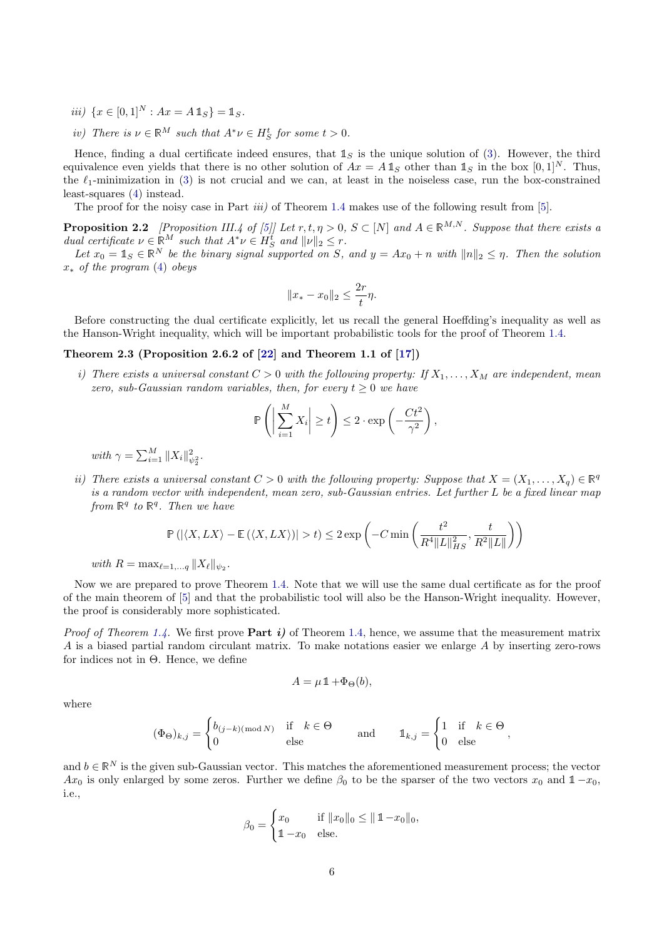- iii)  $\{x \in [0,1]^N : Ax = A \mathbb{1}_S\} = \mathbb{1}_S.$
- iv) There is  $\nu \in \mathbb{R}^M$  such that  $A^*\nu \in H_S^t$  for some  $t > 0$ .

Hence, finding a dual certificate indeed ensures, that  $\mathbb{1}_S$  is the unique solution of [\(3\)](#page-2-0). However, the third equivalence even yields that there is no other solution of  $Ax = A \mathbb{1}_S$  other than  $\mathbb{1}_S$  in the box  $[0, 1]^N$ . Thus, the  $\ell_1$ -minimization in [\(3\)](#page-2-0) is not crucial and we can, at least in the noiseless case, run the box-constrained least-squares [\(4\)](#page-2-2) instead.

The proof for the noisy case in Part *iii*) of Theorem [1.4](#page-4-2) makes use of the following result from [\[5\]](#page-14-0).

<span id="page-5-1"></span>**Proposition 2.2** [Proposition III.4 of [\[5\]](#page-14-0)] Let  $r, t, \eta > 0$ ,  $S \subset [N]$  and  $A \in \mathbb{R}^{M,N}$ . Suppose that there exists a dual certificate  $\nu \in \mathbb{R}^M$  such that  $A^*\nu \in H_S^t$  and  $\|\nu\|_2 \leq r$ .

Let  $x_0 = 1$ <sub>S</sub>  $\in \mathbb{R}^N$  be the binary signal supported on S, and  $y = Ax_0 + n$  with  $||n||_2 \leq \eta$ . Then the solution  $x_*$  of the program [\(4\)](#page-2-2) obeys

$$
||x_* - x_0||_2 \le \frac{2r}{t}\eta.
$$

Before constructing the dual certificate explicitly, let us recall the general Hoeffding's inequality as well as the Hanson-Wright inequality, which will be important probabilistic tools for the proof of Theorem [1.4.](#page-4-2)

#### <span id="page-5-0"></span>Theorem 2.3 (Proposition 2.6.2 of  $[22]$  and Theorem 1.1 of  $[17]$ )

i) There exists a universal constant  $C > 0$  with the following property: If  $X_1, \ldots, X_M$  are independent, mean zero, sub-Gaussian random variables, then, for every  $t > 0$  we have

$$
\mathbb{P}\left(\left|\sum_{i=1}^M X_i\right| \geq t\right) \leq 2 \cdot \exp\left(-\frac{Ct^2}{\gamma^2}\right),
$$

with  $\gamma = \sum_{i=1}^{M} ||X_i||_{\psi_2^2}^2$ .

ii) There exists a universal constant  $C > 0$  with the following property: Suppose that  $X = (X_1, \ldots, X_q) \in \mathbb{R}^q$ is a random vector with independent, mean zero, sub-Gaussian entries. Let further L be a fixed linear map from  $\mathbb{R}^q$  to  $\mathbb{R}^q$ . Then we have

$$
\mathbb{P}\left(\left|\langle X, LX\rangle-\mathbb{E}\left(\langle X, LX\rangle\right)\right|>t\right)\leq 2\exp\left(-C\min\left(\frac{t^2}{R^4\|L\|_{HS}^2},\frac{t}{R^2\|L\|}\right)\right)
$$

with  $R = \max_{\ell=1,\dots,q} \|X_{\ell}\|_{\psi_2}.$ 

Now we are prepared to prove Theorem [1.4.](#page-4-2) Note that we will use the same dual certificate as for the proof of the main theorem of [\[5\]](#page-14-0) and that the probabilistic tool will also be the Hanson-Wright inequality. However, the proof is considerably more sophisticated.

*Proof of Theorem [1.4.](#page-4-2)* We first prove Part  $i$ ) of Theorem [1.4,](#page-4-2) hence, we assume that the measurement matrix A is a biased partial random circulant matrix. To make notations easier we enlarge A by inserting zero-rows for indices not in  $\Theta$ . Hence, we define

$$
A = \mu \, \mathbb{1} + \Phi_{\Theta}(b),
$$

where

$$
(\Phi_{\Theta})_{k,j} = \begin{cases} b_{(j-k)(\text{mod }N)} & \text{if } k \in \Theta \\ 0 & \text{else} \end{cases} \quad \text{and} \quad \mathbb{1}_{k,j} = \begin{cases} 1 & \text{if } k \in \Theta \\ 0 & \text{else} \end{cases},
$$

and  $b \in \mathbb{R}^N$  is the given sub-Gaussian vector. This matches the aforementioned measurement process; the vector  $Ax_0$  is only enlarged by some zeros. Further we define  $\beta_0$  to be the sparser of the two vectors  $x_0$  and  $1-x_0$ , i.e.,

$$
\beta_0 = \begin{cases} x_0 & \text{if } ||x_0||_0 \le ||1 - x_0||_0, \\ 1 - x_0 & \text{else.} \end{cases}
$$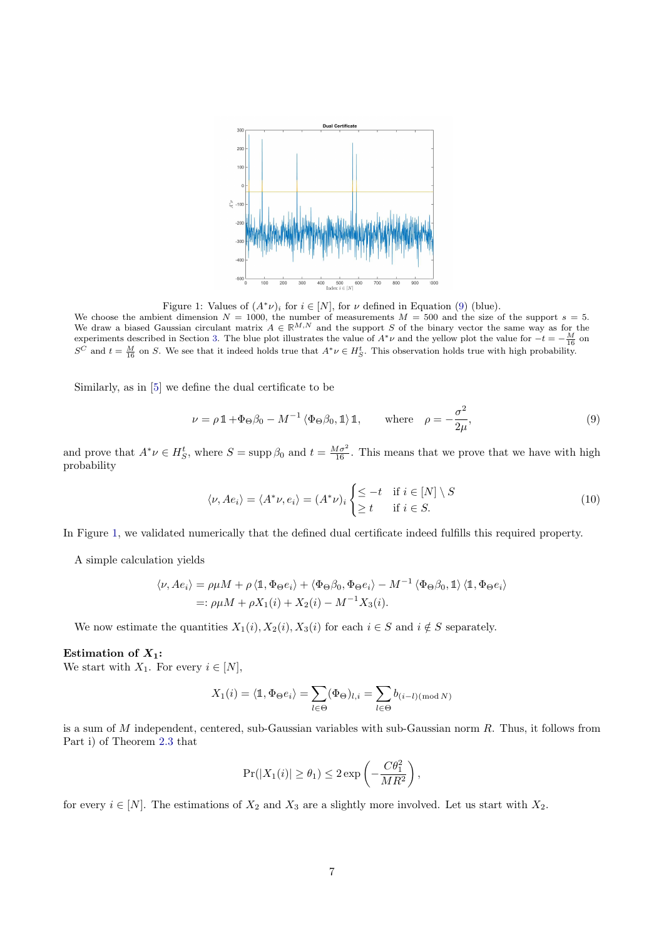<span id="page-6-1"></span>

Figure 1: Values of  $(A^*\nu)_i$  for  $i \in [N]$ , for  $\nu$  defined in Equation [\(9\)](#page-6-0) (blue).

We choose the ambient dimension  $N = 1000$ , the number of measurements  $M = 500$  and the size of the support  $s = 5$ .<br>We draw a biased Gaussian circulant matrix  $A \in \mathbb{R}^{M,N}$  and the support S of the binary vector the same experiments described in Section [3.](#page-13-0) The blue plot illustrates the value of  $A^*\nu$  and the yellow plot the value for  $-t = -\frac{M}{16}$  on  $S^C$  and  $t = \frac{M}{16}$  on S. We see that it indeed holds true that  $A^*\nu \in H_S^t$ . This observation holds true with high probability.

Similarly, as in [\[5\]](#page-14-0) we define the dual certificate to be

$$
\nu = \rho \mathbb{1} + \Phi_{\Theta} \beta_0 - M^{-1} \langle \Phi_{\Theta} \beta_0, \mathbb{1} \rangle \mathbb{1}, \quad \text{where} \quad \rho = -\frac{\sigma^2}{2\mu}, \tag{9}
$$

and prove that  $A^*\nu \in H_S^t$ , where  $S = \text{supp }\beta_0$  and  $t = \frac{M\sigma^2}{16}$ . This means that we prove that we have with high probability

<span id="page-6-2"></span><span id="page-6-0"></span>
$$
\langle \nu, Ae_i \rangle = \langle A^* \nu, e_i \rangle = (A^* \nu)_i \begin{cases} \leq -t & \text{if } i \in [N] \setminus S \\ \geq t & \text{if } i \in S. \end{cases}
$$
 (10)

In Figure [1,](#page-6-1) we validated numerically that the defined dual certificate indeed fulfills this required property.

A simple calculation yields

$$
\langle \nu, Ae_i \rangle = \rho \mu M + \rho \langle \mathbb{1}, \Phi_{\Theta} e_i \rangle + \langle \Phi_{\Theta} \beta_0, \Phi_{\Theta} e_i \rangle - M^{-1} \langle \Phi_{\Theta} \beta_0, \mathbb{1} \rangle \langle \mathbb{1}, \Phi_{\Theta} e_i \rangle
$$
  
=:  $\rho \mu M + \rho X_1(i) + X_2(i) - M^{-1} X_3(i)$ .

We now estimate the quantities  $X_1(i)$ ,  $X_2(i)$ ,  $X_3(i)$  for each  $i \in S$  and  $i \notin S$  separately.

#### Estimation of  $X_1$ :

We start with  $X_1$ . For every  $i \in [N]$ ,

$$
X_1(i) = \langle \mathbb{1}, \Phi_{\Theta} e_i \rangle = \sum_{l \in \Theta} (\Phi_{\Theta})_{l,i} = \sum_{l \in \Theta} b_{(i-l)(\text{mod } N)}
$$

is a sum of  $M$  independent, centered, sub-Gaussian variables with sub-Gaussian norm  $R$ . Thus, it follows from Part i) of Theorem [2.3](#page-5-0) that

$$
\Pr(|X_1(i)| \ge \theta_1) \le 2 \exp\left(-\frac{C\theta_1^2}{MR^2}\right),\,
$$

for every  $i \in [N]$ . The estimations of  $X_2$  and  $X_3$  are a slightly more involved. Let us start with  $X_2$ .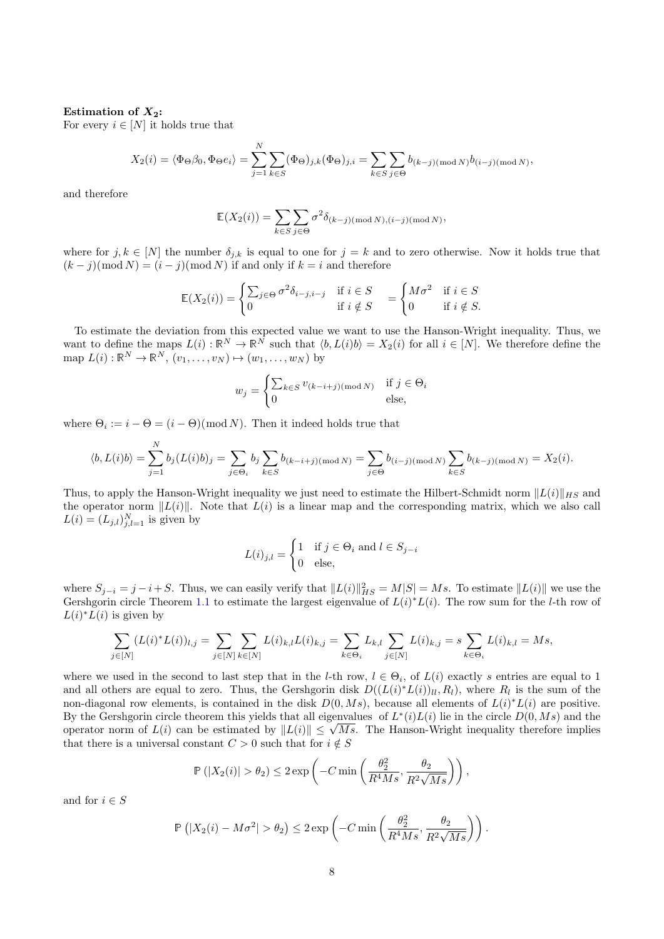#### Estimation of  $X_2$ :

For every  $i \in [N]$  it holds true that

$$
X_2(i) = \langle \Phi_{\Theta} \beta_0, \Phi_{\Theta} e_i \rangle = \sum_{j=1}^N \sum_{k \in S} (\Phi_{\Theta})_{j,k} (\Phi_{\Theta})_{j,i} = \sum_{k \in S} \sum_{j \in \Theta} b_{(k-j)(\text{mod } N)} b_{(i-j)(\text{mod } N)},
$$

and therefore

$$
\mathbb{E}(X_2(i)) = \sum_{k \in S} \sum_{j \in \Theta} \sigma^2 \delta_{(k-j)(\text{mod } N), (i-j)(\text{mod } N)},
$$

where for  $j, k \in [N]$  the number  $\delta_{j,k}$  is equal to one for  $j = k$  and to zero otherwise. Now it holds true that  $(k - j)(\text{mod } N) = (i - j)(\text{mod } N)$  if and only if  $k = i$  and therefore

$$
\mathbb{E}(X_2(i)) = \begin{cases} \sum_{j \in \Theta} \sigma^2 \delta_{i-j, i-j} & \text{if } i \in S \\ 0 & \text{if } i \notin S \end{cases} = \begin{cases} M\sigma^2 & \text{if } i \in S \\ 0 & \text{if } i \notin S. \end{cases}
$$

To estimate the deviation from this expected value we want to use the Hanson-Wright inequality. Thus, we want to define the maps  $L(i) : \mathbb{R}^N \to \mathbb{R}^N$  such that  $\langle b, L(i)b \rangle = X_2(i)$  for all  $i \in [N]$ . We therefore define the map  $L(i): \mathbb{R}^N \to \mathbb{R}^N$ ,  $(v_1, \ldots, v_N) \mapsto (w_1, \ldots, w_N)$  by

$$
w_j = \begin{cases} \sum_{k \in S} v_{(k-i+j)(\text{mod } N)} & \text{if } j \in \Theta_i \\ 0 & \text{else,} \end{cases}
$$

where  $\Theta_i := i - \Theta = (i - \Theta)(\text{mod } N)$ . Then it indeed holds true that

$$
\langle b, L(i)b \rangle = \sum_{j=1}^{N} b_j (L(i)b)_j = \sum_{j \in \Theta_i} b_j \sum_{k \in S} b_{(k-i+j)(\text{mod } N)} = \sum_{j \in \Theta} b_{(i-j)(\text{mod } N)} \sum_{k \in S} b_{(k-j)(\text{mod } N)} = X_2(i).
$$

Thus, to apply the Hanson-Wright inequality we just need to estimate the Hilbert-Schmidt norm  $||L(i)||_{HS}$  and the operator norm  $||L(i)||$ . Note that  $L(i)$  is a linear map and the corresponding matrix, which we also call  $L(i) = (L_{j,l})_{j,l=1}^N$  is given by

$$
L(i)_{j,l} = \begin{cases} 1 & \text{if } j \in \Theta_i \text{ and } l \in S_{j-i} \\ 0 & \text{else,} \end{cases}
$$

where  $S_{j-i} = j-i+S$ . Thus, we can easily verify that  $||L(i)||_{HS}^2 = M|S| = Ms$ . To estimate  $||L(i)||$  we use the Gershgorin circle Theorem [1.1](#page-1-0) to estimate the largest eigenvalue of  $L(i)^* L(i)$ . The row sum for the *l*-th row of  $L(i)^*L(i)$  is given by

$$
\sum_{j \in [N]} (L(i)^* L(i))_{l,j} = \sum_{j \in [N]} \sum_{k \in [N]} L(i)_{k,l} L(i)_{k,j} = \sum_{k \in \Theta_i} L_{k,l} \sum_{j \in [N]} L(i)_{k,j} = s \sum_{k \in \Theta_i} L(i)_{k,l} = Ms,
$$

where we used in the second to last step that in the *l*-th row,  $l \in \Theta_i$ , of  $L(i)$  exactly s entries are equal to 1 and all others are equal to zero. Thus, the Gershgorin disk  $D((L(i)^*L(i))_{ll}, R_l)$ , where  $R_l$  is the sum of the non-diagonal row elements, is contained in the disk  $D(0, Ms)$ , because all elements of  $L(i)^* L(i)$  are positive. By the Gershgorin circle theorem this yields that all eigenvalues of  $L^*(i)L(i)$  lie in the circle  $D(0, Ms)$  and the By the Gersngorm circle theorem this yields that all eigenvalues of  $L^+(i)L(i)$  lie in the circle  $D(0, MS)$  and the operator norm of  $L(i)$  can be estimated by  $||L(i)|| \leq \sqrt{Ms}$ . The Hanson-Wright inequality therefore implies that there is a universal constant  $C > 0$  such that for  $i \notin S$ 

$$
\mathbb{P}\left(|X_2(i)| > \theta_2\right) \le 2\exp\left(-C\min\left(\frac{\theta_2^2}{R^4Ms}, \frac{\theta_2}{R^2\sqrt{Ms}}\right)\right),\,
$$

and for  $i \in S$ 

$$
\mathbb{P}\left(|X_2(i) - M\sigma^2| > \theta_2\right) \le 2\exp\left(-C\min\left(\frac{\theta_2^2}{R^4Ms}, \frac{\theta_2}{R^2\sqrt{Ms}}\right)\right).
$$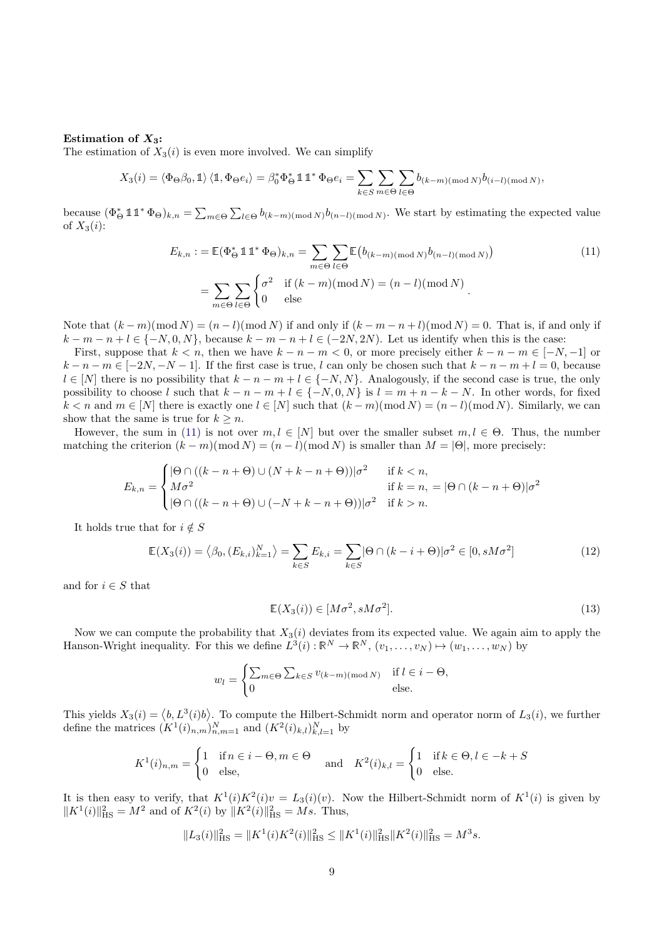#### Estimation of  $X_3$ :

The estimation of  $X_3(i)$  is even more involved. We can simplify

$$
X_3(i)=\left\langle\Phi_\Theta\beta_0, \mathbb{1}\right\rangle \left\langle\mathbb{1}, \Phi_\Theta e_i\right\rangle=\beta_0^*\Phi_\Theta^*\, \mathbb{1}\, \mathbb{1}^*\, \Phi_\Theta e_i=\sum_{k\in S}\sum_{m\in\Theta}\sum_{l\in\Theta}b_{(k-m)(\text{mod}~N)}b_{(i-l)(\text{mod}~N)},
$$

because  $(\Phi_{\Theta}^* \mathbb{1} \mathbb{1}^* \Phi_{\Theta})_{k,n} = \sum_{m \in \Theta} \sum_{l \in \Theta} b_{(k-m) (\text{mod } N)} b_{(n-l) (\text{mod } N)}$ . We start by estimating the expected value of  $X_3(i)$ :

<span id="page-8-0"></span>
$$
E_{k,n} := \mathbb{E}(\Phi_{\Theta}^* \mathbb{1} \mathbb{1}^* \Phi_{\Theta})_{k,n} = \sum_{m \in \Theta} \sum_{l \in \Theta} \mathbb{E}(b_{(k-m)(\text{mod } N)} b_{(n-l)(\text{mod } N)})
$$
  
= 
$$
\sum_{m \in \Theta} \sum_{l \in \Theta} \begin{cases} \sigma^2 & \text{if } (k-m)(\text{mod } N) = (n-l)(\text{mod } N) \\ 0 & \text{else} \end{cases}
$$
 (11)

Note that  $(k-m)(\text{mod }N) = (n-l)(\text{mod }N)$  if and only if  $(k-m-n+l)(\text{mod }N) = 0$ . That is, if and only if  $k - m - n + l \in \{-N, 0, N\}$ , because  $k - m - n + l \in (-2N, 2N)$ . Let us identify when this is the case:

First, suppose that  $k < n$ , then we have  $k - n - m < 0$ , or more precisely either  $k - n - m \in [-N, -1]$  or  $k - n - m \in [-2N, -N - 1]$ . If the first case is true, l can only be chosen such that  $k - n - m + l = 0$ , because  $l \in [N]$  there is no possibility that  $k - n - m + l \in \{-N, N\}$ . Analogously, if the second case is true, the only possibility to choose l such that  $k - n - m + l \in \{-N, 0, N\}$  is  $l = m + n - k - N$ . In other words, for fixed  $k < n$  and  $m \in [N]$  there is exactly one  $l \in [N]$  such that  $(k-m)(\text{mod }N) = (n-l)(\text{mod }N)$ . Similarly, we can show that the same is true for  $k \geq n$ .

However, the sum in [\(11\)](#page-8-0) is not over  $m, l \in [N]$  but over the smaller subset  $m, l \in \Theta$ . Thus, the number matching the criterion  $(k - m) \pmod{N} = (n - l) \pmod{N}$  is smaller than  $M = |\Theta|$ , more precisely:

$$
E_{k,n} = \begin{cases} |\Theta \cap ((k-n+\Theta) \cup (N+k-n+\Theta))|\sigma^2 & \text{if } k < n, \\ M\sigma^2 & \text{if } k = n, \\ |\Theta \cap ((k-n+\Theta) \cup (-N+k-n+\Theta))|\sigma^2 & \text{if } k > n. \end{cases}
$$

It holds true that for  $i \notin S$ 

$$
\mathbb{E}(X_3(i)) = \langle \beta_0, (E_{k,i})_{k=1}^N \rangle = \sum_{k \in S} E_{k,i} = \sum_{k \in S} |\Theta \cap (k - i + \Theta)| \sigma^2 \in [0, sM\sigma^2]
$$
(12)

and for  $i \in S$  that

<span id="page-8-2"></span><span id="page-8-1"></span>
$$
\mathbb{E}(X_3(i)) \in [M\sigma^2, sM\sigma^2].\tag{13}
$$

Now we can compute the probability that  $X_3(i)$  deviates from its expected value. We again aim to apply the Hanson-Wright inequality. For this we define  $L^3(i) : \mathbb{R}^N \to \mathbb{R}^N$ ,  $(v_1, \ldots, v_N) \mapsto (w_1, \ldots, w_N)$  by

$$
w_l = \begin{cases} \sum_{m \in \Theta} \sum_{k \in S} v_{(k-m) \text{ (mod } N)} & \text{if } l \in i - \Theta, \\ 0 & \text{else.} \end{cases}
$$

This yields  $X_3(i) = \langle b, L^3(i)b \rangle$ . To compute the Hilbert-Schmidt norm and operator norm of  $L_3(i)$ , we further define the matrices  $(K^1(i)_{n,m})_{n,m=1}^N$  and  $(K^2(i)_{k,l})_{k,l=1}^N$  by

$$
K^1(i)_{n,m} = \begin{cases} 1 & \text{if } n \in i - \Theta, m \in \Theta \\ 0 & \text{else,} \end{cases} \quad \text{and} \quad K^2(i)_{k,l} = \begin{cases} 1 & \text{if } k \in \Theta, l \in -k + S \\ 0 & \text{else.} \end{cases}
$$

It is then easy to verify, that  $K^1(i)K^2(i)v = L_3(i)(v)$ . Now the Hilbert-Schmidt norm of  $K^1(i)$  is given by  $||K^1(i)||_{\text{HS}}^2 = M^2$  and of  $K^2(i)$  by  $||K^2(i)||_{\text{HS}}^2 = Ms$ . Thus,

$$
||L_3(i)||_{\text{HS}}^2 = ||K^1(i)K^2(i)||_{\text{HS}}^2 \le ||K^1(i)||_{\text{HS}}^2 ||K^2(i)||_{\text{HS}}^2 = M^3s.
$$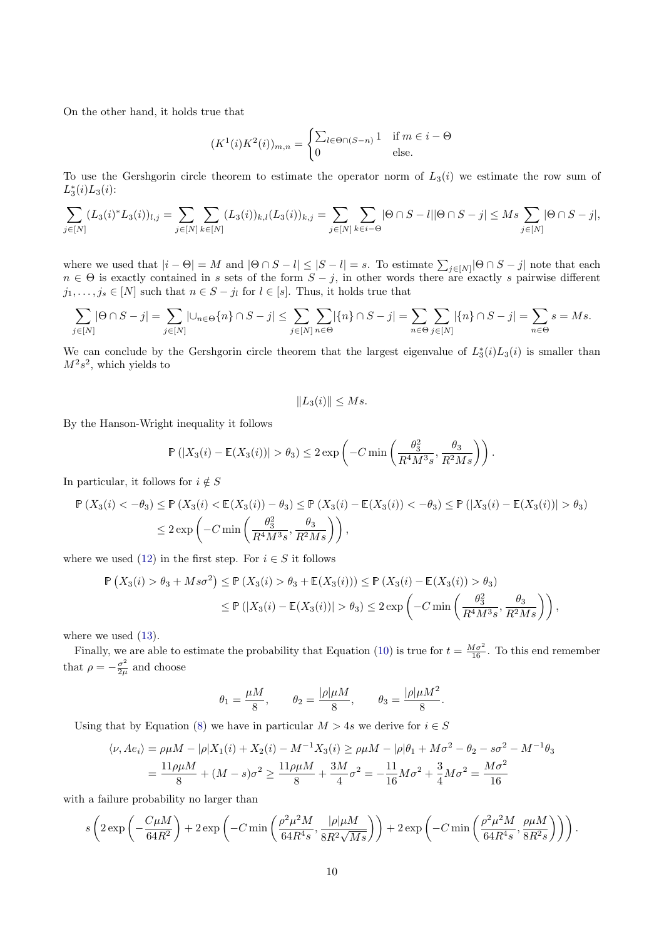On the other hand, it holds true that

$$
(K^1(i)K^2(i))_{m,n} = \begin{cases} \sum_{l \in \Theta \cap (S-n)} 1 & \text{if } m \in i - \Theta \\ 0 & \text{else.} \end{cases}
$$

To use the Gershgorin circle theorem to estimate the operator norm of  $L_3(i)$  we estimate the row sum of  $L_3^*(i)L_3(i)$ :

$$
\sum_{j \in [N]} (L_3(i)^* L_3(i))_{l,j} = \sum_{j \in [N]} \sum_{k \in [N]} (L_3(i))_{k,l} (L_3(i))_{k,j} = \sum_{j \in [N]} \sum_{k \in i - \Theta} |\Theta \cap S - l||\Theta \cap S - j| \le Ms \sum_{j \in [N]} |\Theta \cap S - j|,
$$

where we used that  $|i - \Theta| = M$  and  $|\Theta \cap S - l| \leq |S - l| = s$ . To estimate  $\sum_{j \in [N]} |\Theta \cap S - j|$  note that each  $n \in \Theta$  is exactly contained in s sets of the form  $S - j$ , in other words there are exactly s pairwise different  $j_1, \ldots, j_s \in [N]$  such that  $n \in S - j_l$  for  $l \in [s]$ . Thus, it holds true that

$$
\sum_{j\in [N]} |\Theta\cap S-j|=\sum_{j\in [N]} |\cup_{n\in \Theta}\{n\}\cap S-j|\leq \sum_{j\in [N]} \sum_{n\in \Theta}|\{n\}\cap S-j|=\sum_{n\in \Theta}\sum_{j\in [N]} |\{n\}\cap S-j|=\sum_{n\in \Theta} s=Ms.
$$

We can conclude by the Gershgorin circle theorem that the largest eigenvalue of  $L_3^*(i)L_3(i)$  is smaller than  $M^2s^2$ , which yields to

$$
||L_3(i)|| \leq Ms.
$$

By the Hanson-Wright inequality it follows

$$
\mathbb{P}\left(|X_3(i) - \mathbb{E}(X_3(i))| > \theta_3\right) \leq 2\exp\left(-C\min\left(\frac{\theta_3^2}{R^4M^3s}, \frac{\theta_3}{R^2Ms}\right)\right).
$$

In particular, it follows for  $i \notin S$ 

$$
\mathbb{P}\left(X_3(i) < -\theta_3\right) \le \mathbb{P}\left(X_3(i) < \mathbb{E}(X_3(i)) - \theta_3\right) \le \mathbb{P}\left(X_3(i) - \mathbb{E}(X_3(i)) < -\theta_3\right) \le \mathbb{P}\left(|X_3(i) - \mathbb{E}(X_3(i))| > \theta_3\right)
$$
\n
$$
\le 2 \exp\left(-C\min\left(\frac{\theta_3^2}{R^4 M^3 s}, \frac{\theta_3}{R^2 M s}\right)\right),
$$

where we used [\(12\)](#page-8-1) in the first step. For  $i \in S$  it follows

$$
\mathbb{P}\left(X_3(i) > \theta_3 + M s \sigma^2\right) \le \mathbb{P}\left(X_3(i) > \theta_3 + \mathbb{E}(X_3(i))\right) \le \mathbb{P}\left(X_3(i) - \mathbb{E}(X_3(i)) > \theta_3\right)
$$
  

$$
\le \mathbb{P}\left(|X_3(i) - \mathbb{E}(X_3(i))| > \theta_3\right) \le 2 \exp\left(-C \min\left(\frac{\theta_3^2}{R^4 M^3 s}, \frac{\theta_3}{R^2 M s}\right)\right),
$$

where we used  $(13)$ .

Finally, we are able to estimate the probability that Equation [\(10\)](#page-6-2) is true for  $t = \frac{M\sigma^2}{16}$ . To this end remember that  $\rho = -\frac{\sigma^2}{2\mu}$  $\frac{\sigma^2}{2\mu}$  and choose

$$
\theta_1 = \frac{\mu M}{8}, \qquad \theta_2 = \frac{|\rho|\mu M}{8}, \qquad \theta_3 = \frac{|\rho|\mu M^2}{8}.
$$

Using that by Equation [\(8\)](#page-4-3) we have in particular  $M > 4s$  we derive for  $i \in S$ 

$$
\langle \nu, Ae_i \rangle = \rho \mu M - |\rho| X_1(i) + X_2(i) - M^{-1} X_3(i) \ge \rho \mu M - |\rho| \theta_1 + M \sigma^2 - \theta_2 - s \sigma^2 - M^{-1} \theta_3
$$
  
= 
$$
\frac{11 \rho \mu M}{8} + (M - s) \sigma^2 \ge \frac{11 \rho \mu M}{8} + \frac{3M}{4} \sigma^2 = -\frac{11}{16} M \sigma^2 + \frac{3}{4} M \sigma^2 = \frac{M \sigma^2}{16}
$$

with a failure probability no larger than

$$
s\left(2\exp\left(-\frac{C\mu M}{64R^2}\right) + 2\exp\left(-C\min\left(\frac{\rho^2\mu^2 M}{64R^4s}, \frac{|\rho|\mu M}{8R^2\sqrt{Ms}}\right)\right) + 2\exp\left(-C\min\left(\frac{\rho^2\mu^2 M}{64R^4s}, \frac{\rho\mu M}{8R^2s}\right)\right)\right).
$$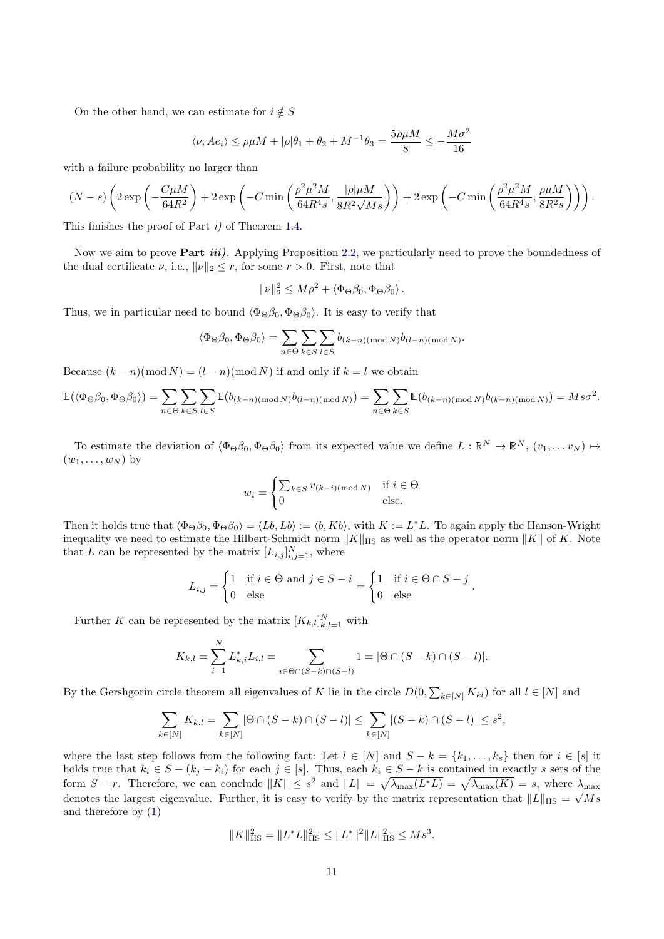On the other hand, we can estimate for  $i \notin S$ 

$$
\langle \nu, Ae_i \rangle \le \rho \mu M + |\rho|\theta_1 + \theta_2 + M^{-1}\theta_3 = \frac{5\rho \mu M}{8} \le -\frac{M\sigma^2}{16}
$$

with a failure probability no larger than

$$
(N-s)\left(2\exp\left(-\frac{C\mu M}{64R^2}\right)+2\exp\left(-C\min\left(\frac{\rho^2\mu^2M}{64R^4s},\frac{|\rho|\mu M}{8R^2\sqrt{Ms}}\right)\right)+2\exp\left(-C\min\left(\frac{\rho^2\mu^2M}{64R^4s},\frac{\rho\mu M}{8R^2s}\right)\right)\right).
$$

This finishes the proof of Part i) of Theorem [1.4.](#page-4-2)

Now we aim to prove **Part** *iii*). Applying Proposition [2.2,](#page-5-1) we particularly need to prove the boundedness of the dual certificate  $\nu$ , i.e.,  $\|\nu\|_2 \leq r$ , for some  $r > 0$ . First, note that

$$
\|\nu\|_2^2 \le M\rho^2 + \langle \Phi_\Theta \beta_0, \Phi_\Theta \beta_0 \rangle.
$$

Thus, we in particular need to bound  $\langle \Phi_{\Theta} \beta_0, \Phi_{\Theta} \beta_0 \rangle$ . It is easy to verify that

$$
\langle \Phi_{\Theta}\beta_0, \Phi_{\Theta}\beta_0 \rangle = \sum_{n \in \Theta} \sum_{k \in S} \sum_{l \in S} b_{(k-n)(\text{mod } N)} b_{(l-n)(\text{mod } N)}.
$$

Because  $(k - n)(\text{mod }N) = (l - n)(\text{mod }N)$  if and only if  $k = l$  we obtain

$$
\mathbb{E}(\langle \Phi_{\Theta}\beta_0, \Phi_{\Theta}\beta_0 \rangle) = \sum_{n \in \Theta} \sum_{k \in S} \sum_{l \in S} \mathbb{E}(b_{(k-n)(\text{mod } N)}b_{(l-n)(\text{mod } N)}) = \sum_{n \in \Theta} \sum_{k \in S} \mathbb{E}(b_{(k-n)(\text{mod } N)}b_{(k-n)(\text{mod } N)}) = M s \sigma^2.
$$

To estimate the deviation of  $\langle \Phi_{\Theta} \beta_0, \Phi_{\Theta} \beta_0 \rangle$  from its expected value we define  $L : \mathbb{R}^N \to \mathbb{R}^N$ ,  $(v_1, \ldots v_N) \mapsto$  $(w_1, \ldots, w_N)$  by

$$
w_i = \begin{cases} \sum_{k \in S} v_{(k-i)(\text{mod } N)} & \text{if } i \in \Theta \\ 0 & \text{else.} \end{cases}
$$

Then it holds true that  $\langle \Phi_{\Theta} \beta_0, \Phi_{\Theta} \beta_0 \rangle = \langle Lb, Lb \rangle := \langle b, Kb \rangle$ , with  $K := L^*L$ . To again apply the Hanson-Wright inequality we need to estimate the Hilbert-Schmidt norm  $||K||_{HS}$  as well as the operator norm  $||K||$  of K. Note that L can be represented by the matrix  $[L_{i,j}]_{i,j=1}^N$ , where

$$
L_{i,j} = \begin{cases} 1 & \text{if } i \in \Theta \text{ and } j \in S - i \\ 0 & \text{else} \end{cases} = \begin{cases} 1 & \text{if } i \in \Theta \cap S - j \\ 0 & \text{else} \end{cases}
$$

.

Further K can be represented by the matrix  $[K_{k,l}]_{k,l=1}^N$  with

$$
K_{k,l} = \sum_{i=1}^{N} L_{k,i}^{*} L_{i,l} = \sum_{i \in \Theta \cap (S-k) \cap (S-l)} 1 = |\Theta \cap (S-k) \cap (S-l)|.
$$

By the Gershgorin circle theorem all eigenvalues of K lie in the circle  $D(0, \sum_{k\in[N]} K_{kl})$  for all  $l \in [N]$  and

$$
\sum_{k \in [N]} K_{k,l} = \sum_{k \in [N]} |\Theta \cap (S - k) \cap (S - l)| \leq \sum_{k \in [N]} |(S - k) \cap (S - l)| \leq s^2,
$$

where the last step follows from the following fact: Let  $l \in [N]$  and  $S - k = \{k_1, \ldots, k_s\}$  then for  $i \in [s]$  it holds true that  $k_i \in S - (k_j - k_i)$  for each  $j \in [s]$ . Thus, each  $k_i \in S - k$  is contained in exactly s sets of the form  $S - r$ . Therefore, we can conclude  $||K|| \leq s^2$  and  $||L|| = \sqrt{\lambda_{\max}(L^*L)} = \sqrt{\lambda_{\max}(K)} = s$ , where  $\lambda_{\max}$ denotes the largest eigenvalue. Further, it is easy to verify by the matrix representation that  $\|L\|_{\text{HS}} = \sqrt{Ms}$ and therefore by [\(1\)](#page-1-1)

$$
||K||_{\text{HS}}^2 = ||L^*L||_{\text{HS}}^2 \le ||L^*||^2 ||L||_{\text{HS}}^2 \le M s^3.
$$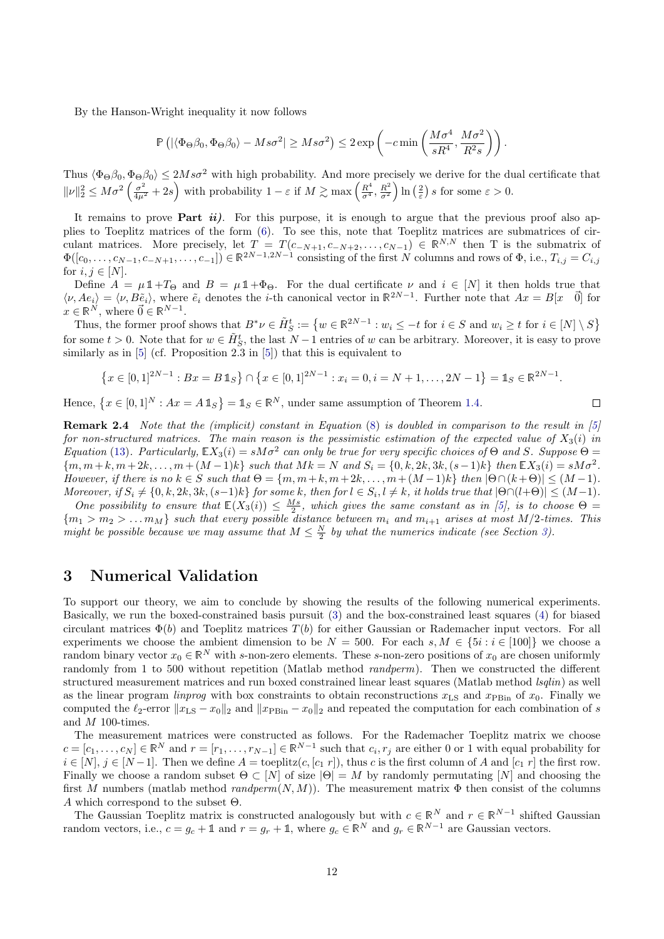By the Hanson-Wright inequality it now follows

$$
\mathbb{P}\left(|\langle \Phi_{\Theta}\beta_0, \Phi_{\Theta}\beta_0 \rangle - M s \sigma^2| \geq M s \sigma^2\right) \leq 2 \exp\left(-c \min\left(\frac{M \sigma^4}{sR^4}, \frac{M \sigma^2}{R^2 s}\right)\right).
$$

Thus  $\langle \Phi_{\Theta} \beta_0, \Phi_{\Theta} \beta_0 \rangle \le 2M s \sigma^2$  with high probability. And more precisely we derive for the dual certificate that  $\|\nu\|_2^2 \leq M\sigma^2 \left(\frac{\sigma^2}{4\mu^2} + 2s\right)$  with probability  $1 - \varepsilon$  if  $M \gtrsim \max\left(\frac{R^4}{\sigma^4}, \frac{R^2}{\sigma^2}\right)$  $\frac{R^2}{\sigma^2}$  ln  $\left(\frac{2}{\varepsilon}\right)s$  for some  $\varepsilon > 0$ .

It remains to prove Part  $ii$ ). For this purpose, it is enough to argue that the previous proof also ap-plies to Toeplitz matrices of the form [\(6\)](#page-4-0). To see this, note that Toeplitz matrices are submatrices of circulant matrices. More precisely, let  $T = T(c_{-N+1}, c_{-N+2}, \ldots, c_{N-1}) \in \mathbb{R}^{N,N}$  then T is the submatrix of  $\Phi([c_0,\ldots,c_{N-1},c_{-N+1},\ldots,c_{-1}]) \in \mathbb{R}^{2N-1,2N-1}$  consisting of the first N columns and rows of  $\Phi$ , i.e.,  $T_{i,j} = C_{i,j}$ for  $i, j \in [N]$ .

Define  $A = \mu \mathbb{1} + T_{\Theta}$  and  $B = \mu \mathbb{1} + \Phi_{\Theta}$ . For the dual certificate  $\nu$  and  $i \in [N]$  it then holds true that  $\langle \nu, Ae_i \rangle = \langle \nu, B\tilde{e}_i \rangle$ , where  $\tilde{e}_i$  denotes the *i*-th canonical vector in  $\mathbb{R}^{2N-1}$ . Further note that  $Ax = B[x \quad \vec{0}]$  for  $x \in \mathbb{R}^N$ , where  $\vec{0} \in \mathbb{R}^{N-1}$ .

Thus, the former proof shows that  $B^*\nu \in \tilde{H}_S^t := \{w \in \mathbb{R}^{2N-1} : w_i \leq -t \text{ for } i \in S \text{ and } w_i \geq t \text{ for } i \in [N] \setminus S\}$ for some  $t > 0$ . Note that for  $w \in \tilde{H}_S^t$ , the last  $N-1$  entries of w can be arbitrary. Moreover, it is easy to prove similarly as in [\[5\]](#page-14-0) (cf. Proposition 2.3 in [\[5\]](#page-14-0)) that this is equivalent to

$$
\{x \in [0,1]^{2N-1} : Bx = B1 \text{ s}\} \cap \{x \in [0,1]^{2N-1} : x_i = 0, i = N+1,\dots, 2N-1\} = 1_S \in \mathbb{R}^{2N-1}.
$$

Hence,  $\{x \in [0,1]^N : Ax = A \mathbb{1}_S\} = \mathbb{1}_S \in \mathbb{R}^N$ , under same assumption of Theorem [1.4.](#page-4-2)

Remark 2.4 Note that the *(implicit)* constant in Equation [\(8\)](#page-4-3) is doubled in comparison to the result in [\[5\]](#page-14-0) for non-structured matrices. The main reason is the pessimistic estimation of the expected value of  $X_3(i)$  in Equation [\(13\)](#page-8-2). Particularly,  $\mathbb{E}X_3(i) = sM\sigma^2$  can only be true for very specific choices of  $\Theta$  and S. Suppose  $\Theta =$  ${m, m+k, m+2k, \ldots, m+(M-1)k}$  such that  $Mk = N$  and  $S_i = {0, k, 2k, 3k, (s-1)k}$  then  $\mathbb{E}X_3(i) = sM\sigma^2$ . However, if there is no  $k \in S$  such that  $\Theta = \{m, m+k, m+2k, \ldots, m+(M-1)k\}$  then  $|\Theta \cap (k+\Theta)| \leq (M-1)$ . Moreover, if  $S_i \neq \{0, k, 2k, 3k, (s-1)k\}$  for some k, then for  $l \in S_i, l \neq k$ , it holds true that  $|\Theta \cap (l+\Theta)| \leq (M-1)$ .

One possibility to ensure that  $\mathbb{E}(X_3(i)) \leq \frac{Ms}{2}$ , which gives the same constant as in [\[5\]](#page-14-0), is to choose  $\Theta =$  ${m_1 > m_2 > ... m_M}$  such that every possible distance between  $m_i$  and  $m_{i+1}$  arises at most M/2-times. This might be possible because we may assume that  $M \leq \frac{N}{2}$  by what the numerics indicate (see Section [3\)](#page-11-0).

# <span id="page-11-0"></span>3 Numerical Validation

To support our theory, we aim to conclude by showing the results of the following numerical experiments. Basically, we run the boxed-constrained basis pursuit [\(3\)](#page-2-0) and the box-constrained least squares [\(4\)](#page-2-2) for biased circulant matrices  $\Phi(b)$  and Toeplitz matrices  $T(b)$  for either Gaussian or Rademacher input vectors. For all experiments we choose the ambient dimension to be  $N = 500$ . For each  $s, M \in \{5i : i \in [100]\}$  we choose a random binary vector  $x_0 \in \mathbb{R}^N$  with s-non-zero elements. These s-non-zero positions of  $x_0$  are chosen uniformly randomly from 1 to 500 without repetition (Matlab method *randperm*). Then we constructed the different structured measurement matrices and run boxed constrained linear least squares (Matlab method lsqlin) as well as the linear program linprog with box constraints to obtain reconstructions  $x_{\text{LS}}$  and  $x_{\text{PBin}}$  of  $x_0$ . Finally we computed the  $\ell_2$ -error  $||x_{\text{LS}} - x_0||_2$  and  $||x_{\text{PBin}} - x_0||_2$  and repeated the computation for each combination of s and  $M$  100-times.

The measurement matrices were constructed as follows. For the Rademacher Toeplitz matrix we choose  $c = [c_1, \ldots, c_N] \in \mathbb{R}^N$  and  $r = [r_1, \ldots, r_{N-1}] \in \mathbb{R}^{N-1}$  such that  $c_i, r_j$  are either 0 or 1 with equal probability for  $i \in [N], j \in [N-1]$ . Then we define  $A = \text{to}e$  plitz $(c, [c_1 r])$ , thus c is the first column of A and  $[c_1 r]$  the first row. Finally we choose a random subset  $\Theta \subset [N]$  of size  $|\Theta| = M$  by randomly permutating  $[N]$  and choosing the first M numbers (matlab method randperm $(N, M)$ ). The measurement matrix  $\Phi$  then consist of the columns A which correspond to the subset Θ.

The Gaussian Toeplitz matrix is constructed analogously but with  $c \in \mathbb{R}^N$  and  $r \in \mathbb{R}^{N-1}$  shifted Gaussian random vectors, i.e.,  $c = g_c + \mathbb{1}$  and  $r = g_r + \mathbb{1}$ , where  $g_c \in \mathbb{R}^N$  and  $g_r \in \mathbb{R}^{N-1}$  are Gaussian vectors.

 $\Box$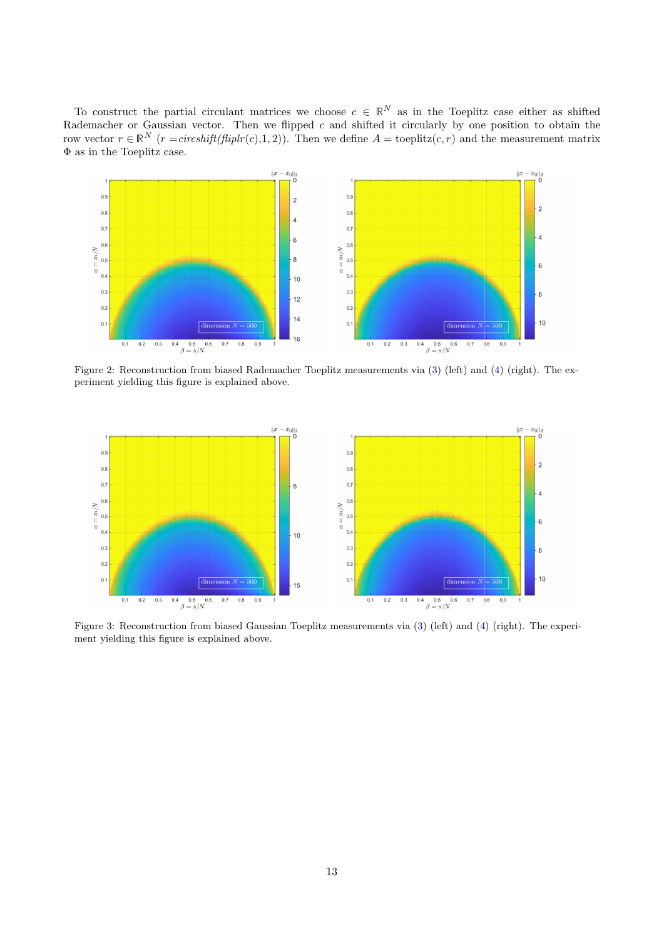To construct the partial circulant matrices we choose  $c \in \mathbb{R}^N$  as in the Toeplitz case either as shifted Rademacher or Gaussian vector. Then we flipped c and shifted it circularly by one position to obtain the row vector  $r \in \mathbb{R}^N$  ( $r = circshift(fliplr(c),1,2)$ ). Then we define  $A = \text{toeplitz}(c, r)$  and the measurement matrix Φ as in the Toeplitz case.



Figure 2: Reconstruction from biased Rademacher Toeplitz measurements via [\(3\)](#page-2-0) (left) and [\(4\)](#page-2-2) (right). The experiment yielding this figure is explained above.



Figure 3: Reconstruction from biased Gaussian Toeplitz measurements via [\(3\)](#page-2-0) (left) and [\(4\)](#page-2-2) (right). The experiment yielding this figure is explained above.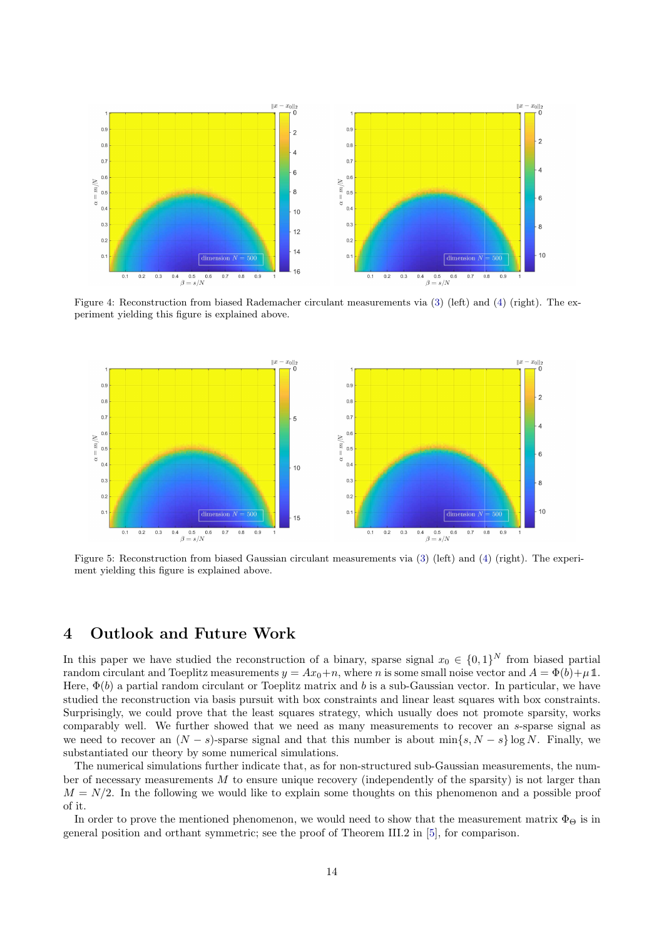

Figure 4: Reconstruction from biased Rademacher circulant measurements via [\(3\)](#page-2-0) (left) and [\(4\)](#page-2-2) (right). The experiment yielding this figure is explained above.

<span id="page-13-0"></span>

Figure 5: Reconstruction from biased Gaussian circulant measurements via [\(3\)](#page-2-0) (left) and [\(4\)](#page-2-2) (right). The experiment yielding this figure is explained above.

# 4 Outlook and Future Work

In this paper we have studied the reconstruction of a binary, sparse signal  $x_0 \in \{0,1\}^N$  from biased partial random circulant and Toeplitz measurements  $y = Ax_0 + n$ , where n is some small noise vector and  $A = \Phi(b) + \mu \mathbb{1}$ . Here,  $\Phi(b)$  a partial random circulant or Toeplitz matrix and b is a sub-Gaussian vector. In particular, we have studied the reconstruction via basis pursuit with box constraints and linear least squares with box constraints. Surprisingly, we could prove that the least squares strategy, which usually does not promote sparsity, works comparably well. We further showed that we need as many measurements to recover an s-sparse signal as we need to recover an  $(N - s)$ -sparse signal and that this number is about min $\{s, N - s\}$  log N. Finally, we substantiated our theory by some numerical simulations.

The numerical simulations further indicate that, as for non-structured sub-Gaussian measurements, the number of necessary measurements M to ensure unique recovery (independently of the sparsity) is not larger than  $M = N/2$ . In the following we would like to explain some thoughts on this phenomenon and a possible proof of it.

In order to prove the mentioned phenomenon, we would need to show that the measurement matrix  $\Phi_{\Theta}$  is in general position and orthant symmetric; see the proof of Theorem III.2 in [\[5\]](#page-14-0), for comparison.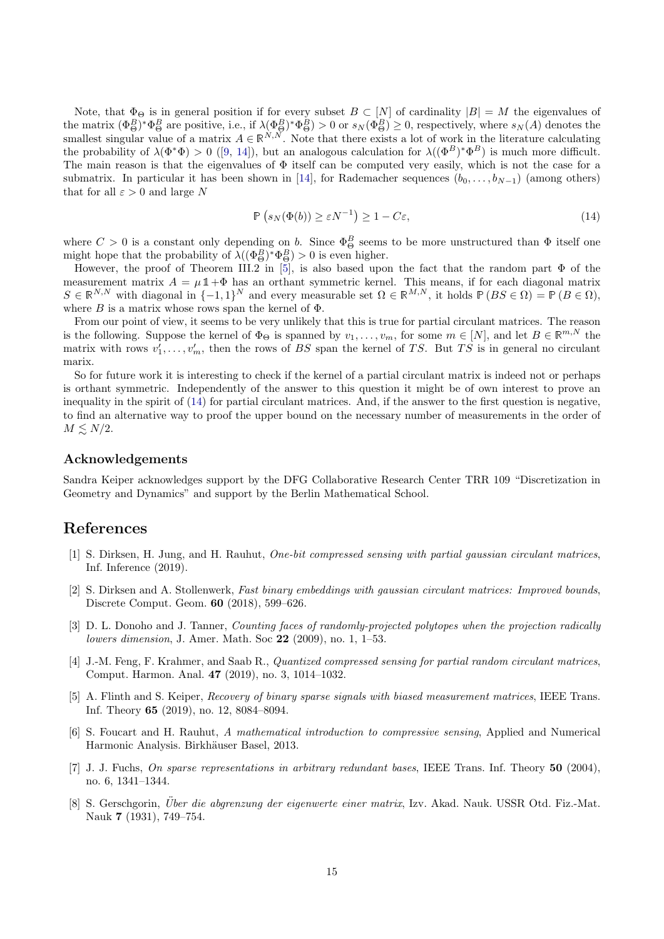Note, that  $\Phi_{\Theta}$  is in general position if for every subset  $B \subset [N]$  of cardinality  $|B| = M$  the eigenvalues of the matrix  $(\Phi_{\Theta}^B)^* \Phi_{\Theta}^B$  are positive, i.e., if  $\lambda(\Phi_{\Theta}^B)^* \Phi_{\Theta}^B > 0$  or  $s_N(\Phi_{\Theta}^B) \geq 0$ , respectively, where  $s_N(A)$  denotes the smallest singular value of a matrix  $A \in \mathbb{R}^{N,N}$ . Note that there exists a lot of work in the literature calculating the probability of  $\lambda(\Phi^*\Phi) > 0$  ([\[9,](#page-15-12) [14\]](#page-15-13)), but an analogous calculation for  $\lambda((\Phi^B)^*\Phi^B)$  is much more difficult. The main reason is that the eigenvalues of  $\Phi$  itself can be computed very easily, which is not the case for a submatrix. In particular it has been shown in [\[14\]](#page-15-13), for Rademacher sequences  $(b_0, \ldots, b_{N-1})$  (among others) that for all  $\varepsilon > 0$  and large N

<span id="page-14-8"></span>
$$
\mathbb{P}\left(s_N(\Phi(b)) \ge \varepsilon N^{-1}\right) \ge 1 - C\varepsilon,\tag{14}
$$

where  $C > 0$  is a constant only depending on b. Since  $\Phi_{\Theta}^B$  seems to be more unstructured than  $\Phi$  itself one might hope that the probability of  $\lambda((\Phi_{\Theta}^B)^*\Phi_{\Theta}^B) > 0$  is even higher.

However, the proof of Theorem III.2 in [\[5\]](#page-14-0), is also based upon the fact that the random part  $\Phi$  of the measurement matrix  $A = \mu \mathbb{1} + \Phi$  has an orthant symmetric kernel. This means, if for each diagonal matrix  $S \in \mathbb{R}^{N,N}$  with diagonal in  $\{-1,1\}^N$  and every measurable set  $\Omega \in \mathbb{R}^{M,N}$ , it holds  $\mathbb{P}(BS \in \Omega) = \mathbb{P}(B \in \Omega)$ , where  $B$  is a matrix whose rows span the kernel of  $\Phi$ .

From our point of view, it seems to be very unlikely that this is true for partial circulant matrices. The reason is the following. Suppose the kernel of  $\Phi_{\Theta}$  is spanned by  $v_1, \ldots, v_m$ , for some  $m \in [N]$ , and let  $B \in \mathbb{R}^{m,N}$  the matrix with rows  $v'_1, \ldots, v'_m$ , then the rows of BS span the kernel of TS. But TS is in general no circulant marix.

So for future work it is interesting to check if the kernel of a partial circulant matrix is indeed not or perhaps is orthant symmetric. Independently of the answer to this question it might be of own interest to prove an inequality in the spirit of [\(14\)](#page-14-8) for partial circulant matrices. And, if the answer to the first question is negative, to find an alternative way to proof the upper bound on the necessary number of measurements in the order of  $M \lesssim N/2$ .

#### Acknowledgements

Sandra Keiper acknowledges support by the DFG Collaborative Research Center TRR 109 "Discretization in Geometry and Dynamics" and support by the Berlin Mathematical School.

## References

- <span id="page-14-2"></span>[1] S. Dirksen, H. Jung, and H. Rauhut, One-bit compressed sensing with partial gaussian circulant matrices, Inf. Inference (2019).
- <span id="page-14-3"></span>[2] S. Dirksen and A. Stollenwerk, Fast binary embeddings with gaussian circulant matrices: Improved bounds, Discrete Comput. Geom. 60 (2018), 599–626.
- <span id="page-14-6"></span>[3] D. L. Donoho and J. Tanner, Counting faces of randomly-projected polytopes when the projection radically lowers dimension, J. Amer. Math. Soc 22 (2009), no. 1, 1–53.
- <span id="page-14-4"></span>[4] J.-M. Feng, F. Krahmer, and Saab R., *Quantized compressed sensing for partial random circulant matrices*, Comput. Harmon. Anal. 47 (2019), no. 3, 1014–1032.
- <span id="page-14-0"></span>[5] A. Flinth and S. Keiper, Recovery of binary sparse signals with biased measurement matrices, IEEE Trans. Inf. Theory 65 (2019), no. 12, 8084–8094.
- <span id="page-14-1"></span>[6] S. Foucart and H. Rauhut, A mathematical introduction to compressive sensing, Applied and Numerical Harmonic Analysis. Birkhäuser Basel, 2013.
- <span id="page-14-7"></span>[7] J. J. Fuchs, On sparse representations in arbitrary redundant bases, IEEE Trans. Inf. Theory 50 (2004), no. 6, 1341–1344.
- <span id="page-14-5"></span>[8] S. Gerschgorin, Über die abgrenzung der eigenwerte einer matrix, Izv. Akad. Nauk. USSR Otd. Fiz.-Mat. Nauk 7 (1931), 749–754.